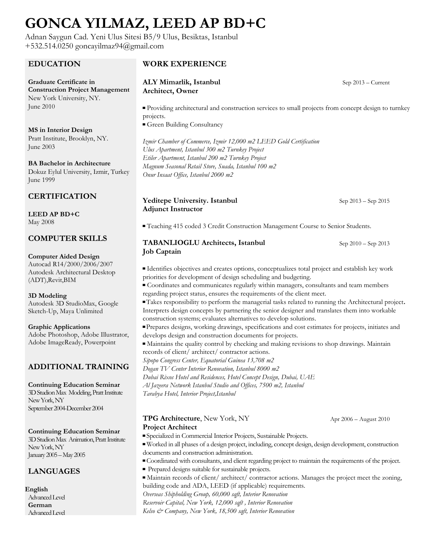# **GONCA YILMAZ, LEED AP BD+C**

Adnan Saygun Cad. Yeni Ulus Sitesi B5/9 Ulus, Besiktas, Istanbul +532.514.0250 goncayilmaz94@gmail.com

#### **EDUCATION**

**Graduate Certificate in Construction Project Management** New York University, NY. June 2010

**MS in Interior Design** Pratt Institute, Brooklyn, NY. June 2003

**BA Bachelor in Architecture** Dokuz Eylul University, Izmir, Turkey June 1999

## **CERTIFICATION**

**LEED AP BD+C** May 2008

### **COMPUTER SKILLS**

#### **Computer Aided Design**

Autocad R14/2000/2006/2007 Autodesk Architectural Desktop (ADT),Revit,BIM

**3D Modeling** Autodesk 3D StudioMax, Google Sketch-Up, Maya Unlimited

**Graphic Applications** Adobe Photoshop, Adobe Illustrator, Adobe ImageReady, Powerpoint

## **ADDITIONAL TRAINING**

**Continuing Education Seminar** 3D Studion Max Modeling, Pratt Institute New York, NY September 2004-December 2004

**Continuing Education Seminar** 3D Studion Max Animation, Pratt Institute New York, NY January 2005 –May 2005

## **LANGUAGES**

**English** Advanced Level **German** Advanced Level

#### **WORK EXPERIENCE**

#### **ALY Mimarlik, Istanbul Architect, Owner**

▀ Providing architectural and construction services to small projects from concept design to turnkey projects.

■ Green Building Consultancy

*Izmir Chamber of Commerce, Izmir 12,000 m2 LEED Gold Certification Ulus Apartment, Istanbul 300 m2 Turnkey Project Etiler Apartment, Istanbul 200 m2 Turnkey Project Magnum Seasonal Retail Store, Suada, Istanbul 100 m2 Onur Insaat Office, Istanbul 2000 m2*

#### **Yeditepe University. Istanbul Adjunct Instructor**

Sep 2013 – Sep 2015

Sep 2010 – Sep 2013

Sep 2013 – Current

**▀** Teaching 415 coded 3 Credit Construction Management Course to Senior Students.

#### **TABANLIOGLU Architects, Istanbul Job Captain**

**▀** Identifies objectives and creates options, conceptualizes total project and establish key work priorities for development of design scheduling and budgeting.

**▀** Coordinates and communicates regularly within managers, consultants and team members regarding project status, ensures the requirements of the client meet.

**▀** Takes responsibility to perform the managerial tasks related to running the Architectural project**.**  Interprets design concepts by partnering the senior designer and translates them into workable construction systems; evaluates alternatives to develop solutions.

**▀** Prepares designs, working drawings, specifications and cost estimates for projects, initiates and develops design and construction documents for projects.

**▀** Maintains the quality control by checking and making revisions to shop drawings. Maintain records of client/ architect/ contractor actions.

*Sipopo Congress Center, Equatorial Guinea 13,708 m2 Dogan TV Center Interior Renovation, Istanbul 8000 m2*

*Dubai Rixos Hotel and Residences, Hotel Concept Design, Dubai, UAE*

*Al Jazeera Network Istanbul Studio and Offices, 7500 m2, Istanbul*

*Tarabya Hotel, Interior Project,Istanbul*

#### **TPG Architecture**, New York, NY **Project Architect**

Apr 2006 – August 2010

- **▀** Specialized in Commercial Interior Projects, Sustainable Projects.
- **▀** Worked in all phases of a design project, including, concept design, design development, construction documents and construction administration.
- **▀** Coordinated with consultants, and client regarding project to maintain the requirements of the project.
- **▀** Prepared designs suitable for sustainable projects.

**▀** Maintain records of client/ architect/ contractor actions. Manages the project meet the zoning, building code and ADA, LEED (if applicable) requirements.

*Overseas Shipholding Group, 60,000 sqft, Interior Renovation* 

*Reservoir Capital, New York, 12,000 sqft , Interior Renovation Kelso & Company, New York, 18,500 sqft, Interior Renovation*